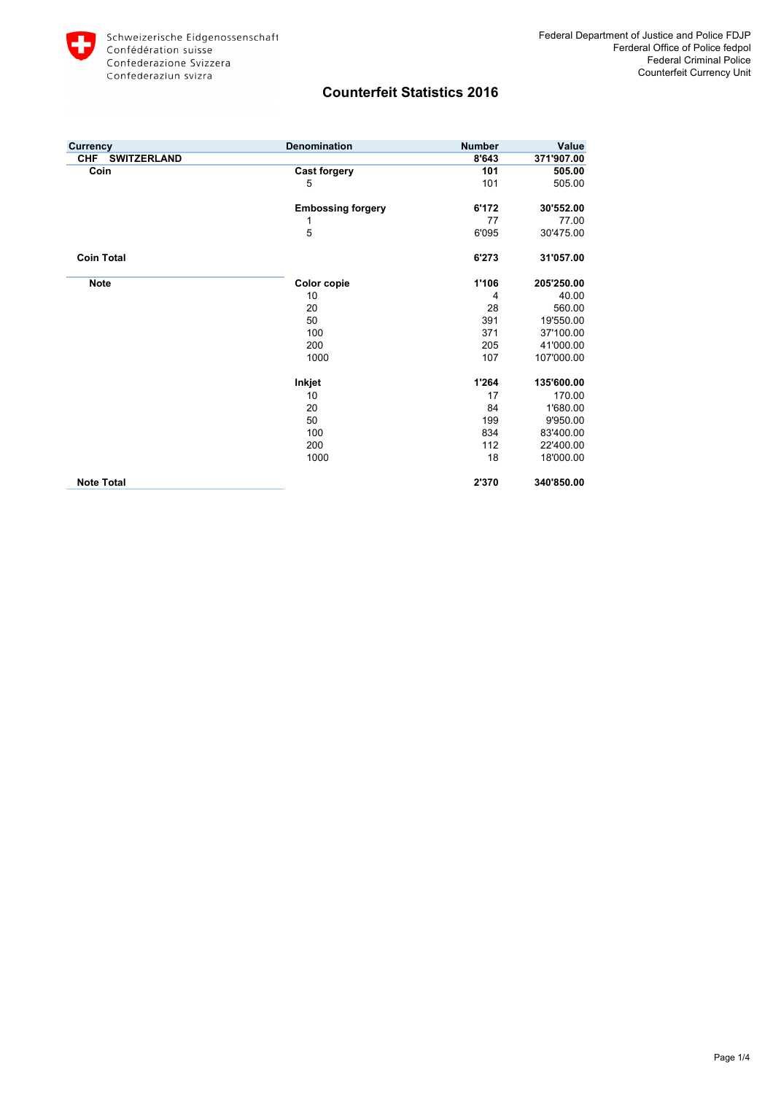

| <b>Currency</b>           | <b>Denomination</b>      | <b>Number</b> | Value      |
|---------------------------|--------------------------|---------------|------------|
| CHF<br><b>SWITZERLAND</b> |                          | 8'643         | 371'907.00 |
| Coin                      | <b>Cast forgery</b>      | 101           | 505.00     |
|                           | 5                        | 101           | 505.00     |
|                           | <b>Embossing forgery</b> | 6'172         | 30'552.00  |
|                           | 1                        | 77            | 77.00      |
|                           | 5                        | 6'095         | 30'475.00  |
| <b>Coin Total</b>         |                          | 6'273         | 31'057.00  |
| <b>Note</b>               | Color copie              | 1'106         | 205'250.00 |
|                           | 10                       | 4             | 40.00      |
|                           | 20                       | 28            | 560.00     |
|                           | 50                       | 391           | 19'550.00  |
|                           | 100                      | 371           | 37'100.00  |
|                           | 200                      | 205           | 41'000.00  |
|                           | 1000                     | 107           | 107'000.00 |
|                           | Inkjet                   | 1'264         | 135'600.00 |
|                           | 10                       | 17            | 170.00     |
|                           | 20                       | 84            | 1'680.00   |
|                           | 50                       | 199           | 9'950.00   |
|                           | 100                      | 834           | 83'400.00  |
|                           | 200                      | 112           | 22'400.00  |
|                           | 1000                     | 18            | 18'000.00  |
| <b>Note Total</b>         |                          | 2'370         | 340'850.00 |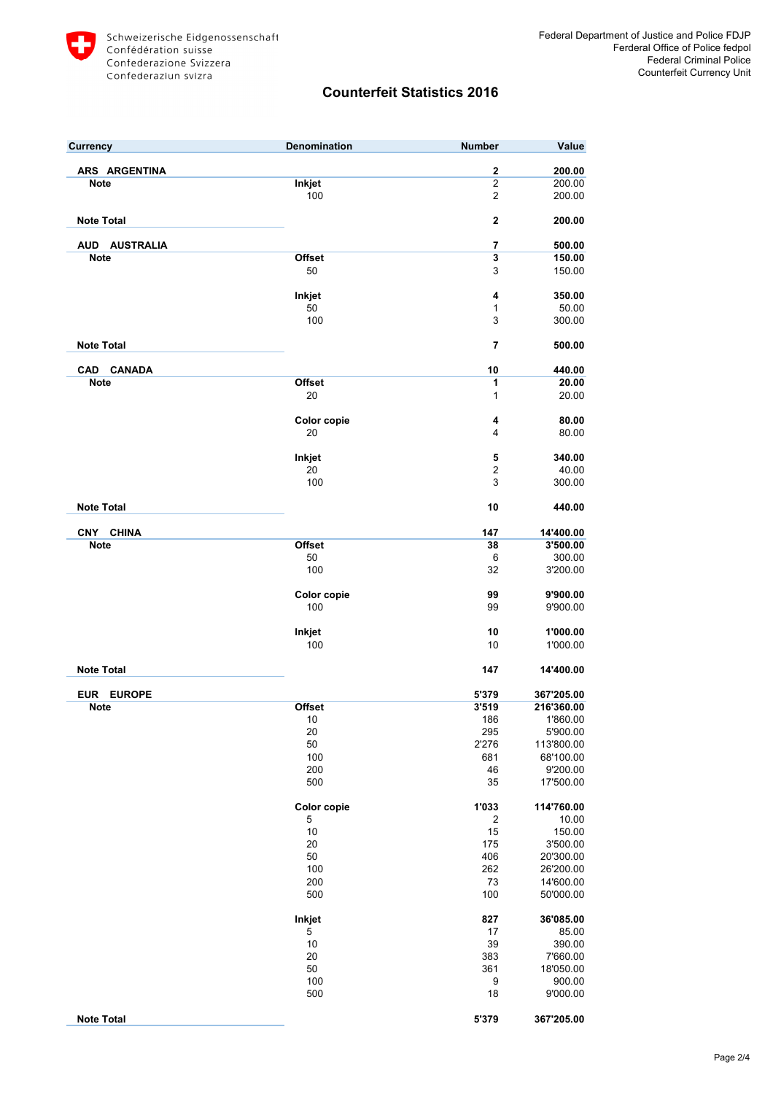

| <b>Currency</b>            | Denomination  | <b>Number</b>           | Value                  |
|----------------------------|---------------|-------------------------|------------------------|
| ARS ARGENTINA              |               | $\mathbf 2$             | 200.00                 |
| <b>Note</b>                | Inkjet        | $\overline{2}$          | 200.00                 |
|                            | 100           | $\overline{c}$          | 200.00                 |
| <b>Note Total</b>          |               | 2                       | 200.00                 |
| AUD AUSTRALIA              |               | 7                       | 500.00                 |
| <b>Note</b>                | <b>Offset</b> | $\overline{\mathbf{3}}$ | 150.00                 |
|                            | 50            | 3                       | 150.00                 |
|                            | Inkjet        | 4                       | 350.00                 |
|                            | 50            | 1                       | 50.00                  |
|                            | 100           | 3                       | 300.00                 |
| <b>Note Total</b>          |               | 7                       | 500.00                 |
| <b>CANADA</b><br>CAD       |               | 10                      | 440.00                 |
| <b>Note</b>                | <b>Offset</b> | 1                       | 20.00                  |
|                            | 20            | $\mathbf{1}$            | 20.00                  |
|                            | Color copie   | 4                       | 80.00                  |
|                            | 20            | 4                       | 80.00                  |
|                            | Inkjet        | 5                       | 340.00                 |
|                            | 20            | 2                       | 40.00                  |
|                            | 100           | 3                       | 300.00                 |
| <b>Note Total</b>          |               | 10                      | 440.00                 |
| <b>CNY</b><br><b>CHINA</b> |               | 147                     | 14'400.00              |
| <b>Note</b>                | <b>Offset</b> | 38                      | 3'500.00               |
|                            | 50            | 6                       | 300.00                 |
|                            | 100           | 32                      | 3'200.00               |
|                            | Color copie   | 99                      | 9'900.00               |
|                            | 100           | 99                      | 9'900.00               |
|                            | Inkjet        | 10                      | 1'000.00               |
|                            | 100           | 10                      | 1'000.00               |
| <b>Note Total</b>          |               | 147                     | 14'400.00              |
| EUR EUROPE                 |               | 5'379                   | 367'205.00             |
| <b>Note</b>                | <b>Offset</b> | 3'519                   | 216'360.00             |
|                            | 10            | 186                     | 1'860.00               |
|                            | 20            | 295                     | 5'900.00               |
|                            | 50            | 2'276                   | 113'800.00             |
|                            | 100<br>200    | 681<br>46               | 68'100.00              |
|                            | 500           | 35                      | 9'200.00<br>17'500.00  |
|                            | Color copie   | 1'033                   | 114'760.00             |
|                            | 5             | 2                       | 10.00                  |
|                            | $10$          | 15                      | 150.00                 |
|                            | 20            | 175                     | 3'500.00               |
|                            | 50            | 406                     | 20'300.00              |
|                            | 100           | 262                     | 26'200.00              |
|                            | 200<br>500    | 73<br>100               | 14'600.00<br>50'000.00 |
|                            | Inkjet        | 827                     | 36'085.00              |
|                            | 5             | 17                      | 85.00                  |
|                            | 10            | 39                      | 390.00                 |
|                            | 20            | 383                     | 7'660.00               |
|                            | 50            | 361                     | 18'050.00              |
|                            | 100           | 9                       | 900.00                 |
|                            | 500           | 18                      | 9'000.00               |
| <b>Note Total</b>          |               | 5'379                   | 367'205.00             |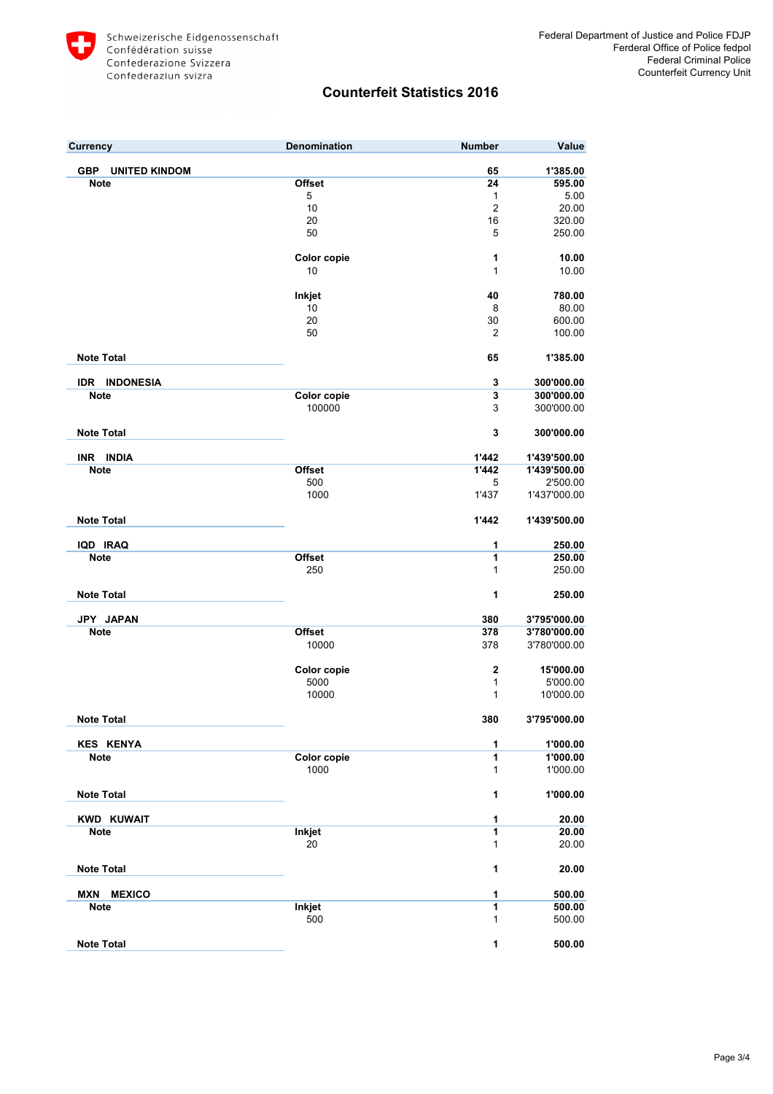

| <b>Currency</b>                    | Denomination               | <b>Number</b>  | Value                |
|------------------------------------|----------------------------|----------------|----------------------|
| <b>GBP</b><br><b>UNITED KINDOM</b> |                            | 65             | 1'385.00             |
|                                    |                            |                | 595.00               |
| <b>Note</b>                        | Offset                     | 24             |                      |
|                                    | 5                          | 1              | 5.00                 |
|                                    | 10                         | $\overline{2}$ | 20.00                |
|                                    | 20                         | 16             | 320.00               |
|                                    | 50                         | 5              | 250.00               |
|                                    | Color copie                | 1              | 10.00                |
|                                    | 10                         | 1              | 10.00                |
|                                    | Inkjet                     | 40             | 780.00               |
|                                    | 10                         | 8              | 80.00                |
|                                    | 20                         | 30             | 600.00               |
|                                    | 50                         | $\overline{2}$ | 100.00               |
|                                    |                            |                |                      |
| <b>Note Total</b>                  |                            | 65             | 1'385.00             |
| <b>IDR INDONESIA</b>               |                            | 3              | 300'000.00           |
| <b>Note</b>                        | Color copie                | 3              | 300'000.00           |
|                                    | 100000                     | 3              | 300'000.00           |
| <b>Note Total</b>                  |                            | 3              | 300'000.00           |
| INR INDIA                          |                            | 1'442          | 1'439'500.00         |
| <b>Note</b>                        | <b>Offset</b>              | 1'442          | 1'439'500.00         |
|                                    | 500                        | 5              | 2'500.00             |
|                                    | 1000                       | 1'437          | 1'437'000.00         |
| <b>Note Total</b>                  |                            | 1'442          | 1'439'500.00         |
|                                    |                            |                |                      |
| IQD IRAQ                           |                            | 1              | 250.00               |
| <b>Note</b>                        | <b>Offset</b>              | 1              | 250.00               |
|                                    | 250                        | 1              | 250.00               |
| <b>Note Total</b>                  |                            | 1              | 250.00               |
| JPY JAPAN                          |                            | 380            | 3'795'000.00         |
| <b>Note</b>                        | <b>Offset</b>              | 378            | 3'780'000.00         |
|                                    | 10000                      | 378            | 3'780'000.00         |
|                                    | Color copie                | $\mathbf{2}$   | 15'000.00            |
|                                    | 5000                       | 1              | 5'000.00             |
|                                    | 10000                      | 1              | 10'000.00            |
| <b>Note Total</b>                  |                            | 380            | 3'795'000.00         |
|                                    |                            |                |                      |
| <b>KES KENYA</b>                   |                            | 1              | 1'000.00             |
| <b>Note</b>                        | <b>Color copie</b><br>1000 | 1<br>1         | 1'000.00<br>1'000.00 |
| <b>Note Total</b>                  |                            | 1              | 1'000.00             |
| <b>KWD KUWAIT</b>                  |                            | 1              | 20.00                |
| <b>Note</b>                        | <b>Inkjet</b>              | 1              | 20.00                |
|                                    | 20                         | 1              | 20.00                |
| <b>Note Total</b>                  |                            | 1              | 20.00                |
| <b>MXN MEXICO</b>                  |                            | 1              | 500.00               |
| <b>Note</b>                        | <b>Inkjet</b>              | 1              | 500.00               |
|                                    | 500                        | 1              | 500.00               |
| <b>Note Total</b>                  |                            | 1              | 500.00               |